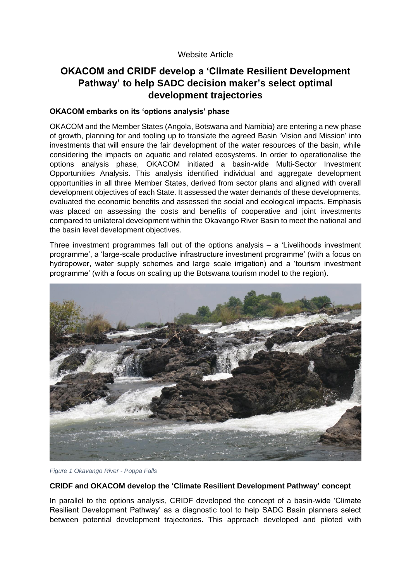## Website Article

# **OKACOM and CRIDF develop a 'Climate Resilient Development Pathway' to help SADC decision maker's select optimal development trajectories**

## **OKACOM embarks on its 'options analysis' phase**

OKACOM and the Member States (Angola, Botswana and Namibia) are entering a new phase of growth, planning for and tooling up to translate the agreed Basin 'Vision and Mission' into investments that will ensure the fair development of the water resources of the basin, while considering the impacts on aquatic and related ecosystems. In order to operationalise the options analysis phase, OKACOM initiated a basin-wide Multi-Sector Investment Opportunities Analysis. This analysis identified individual and aggregate development opportunities in all three Member States, derived from sector plans and aligned with overall development objectives of each State. It assessed the water demands of these developments, evaluated the economic benefits and assessed the social and ecological impacts. Emphasis was placed on assessing the costs and benefits of cooperative and joint investments compared to unilateral development within the Okavango River Basin to meet the national and the basin level development objectives.

Three investment programmes fall out of the options analysis – a 'Livelihoods investment programme', a 'large-scale productive infrastructure investment programme' (with a focus on hydropower, water supply schemes and large scale irrigation) and a 'tourism investment programme' (with a focus on scaling up the Botswana tourism model to the region).



*Figure 1 Okavango River - Poppa Falls*

#### **CRIDF and OKACOM develop the 'Climate Resilient Development Pathway' concept**

In parallel to the options analysis, CRIDF developed the concept of a basin-wide 'Climate Resilient Development Pathway' as a diagnostic tool to help SADC Basin planners select between potential development trajectories. This approach developed and piloted with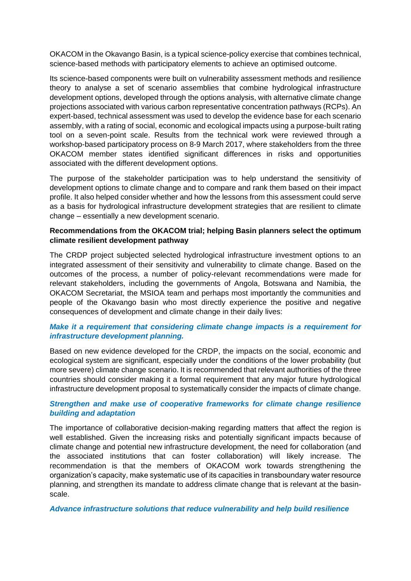OKACOM in the Okavango Basin, is a typical science-policy exercise that combines technical, science-based methods with participatory elements to achieve an optimised outcome.

Its science-based components were built on vulnerability assessment methods and resilience theory to analyse a set of scenario assemblies that combine hydrological infrastructure development options, developed through the options analysis, with alternative climate change projections associated with various carbon representative concentration pathways (RCPs). An expert-based, technical assessment was used to develop the evidence base for each scenario assembly, with a rating of social, economic and ecological impacts using a purpose-built rating tool on a seven-point scale. Results from the technical work were reviewed through a workshop-based participatory process on 8-9 March 2017, where stakeholders from the three OKACOM member states identified significant differences in risks and opportunities associated with the different development options.

The purpose of the stakeholder participation was to help understand the sensitivity of development options to climate change and to compare and rank them based on their impact profile. It also helped consider whether and how the lessons from this assessment could serve as a basis for hydrological infrastructure development strategies that are resilient to climate change – essentially a new development scenario.

## **Recommendations from the OKACOM trial; helping Basin planners select the optimum climate resilient development pathway**

The CRDP project subjected selected hydrological infrastructure investment options to an integrated assessment of their sensitivity and vulnerability to climate change. Based on the outcomes of the process, a number of policy-relevant recommendations were made for relevant stakeholders, including the governments of Angola, Botswana and Namibia, the OKACOM Secretariat, the MSIOA team and perhaps most importantly the communities and people of the Okavango basin who most directly experience the positive and negative consequences of development and climate change in their daily lives:

## *Make it a requirement that considering climate change impacts is a requirement for infrastructure development planning.*

Based on new evidence developed for the CRDP, the impacts on the social, economic and ecological system are significant, especially under the conditions of the lower probability (but more severe) climate change scenario. It is recommended that relevant authorities of the three countries should consider making it a formal requirement that any major future hydrological infrastructure development proposal to systematically consider the impacts of climate change.

## *Strengthen and make use of cooperative frameworks for climate change resilience building and adaptation*

The importance of collaborative decision-making regarding matters that affect the region is well established. Given the increasing risks and potentially significant impacts because of climate change and potential new infrastructure development, the need for collaboration (and the associated institutions that can foster collaboration) will likely increase. The recommendation is that the members of OKACOM work towards strengthening the organization's capacity, make systematic use of its capacities in transboundary water resource planning, and strengthen its mandate to address climate change that is relevant at the basinscale.

#### *Advance infrastructure solutions that reduce vulnerability and help build resilience*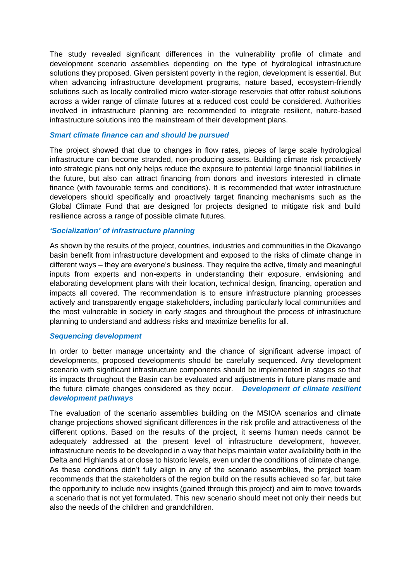The study revealed significant differences in the vulnerability profile of climate and development scenario assemblies depending on the type of hydrological infrastructure solutions they proposed. Given persistent poverty in the region, development is essential. But when advancing infrastructure development programs, nature based, ecosystem-friendly solutions such as locally controlled micro water-storage reservoirs that offer robust solutions across a wider range of climate futures at a reduced cost could be considered. Authorities involved in infrastructure planning are recommended to integrate resilient, nature-based infrastructure solutions into the mainstream of their development plans.

#### *Smart climate finance can and should be pursued*

The project showed that due to changes in flow rates, pieces of large scale hydrological infrastructure can become stranded, non-producing assets. Building climate risk proactively into strategic plans not only helps reduce the exposure to potential large financial liabilities in the future, but also can attract financing from donors and investors interested in climate finance (with favourable terms and conditions). It is recommended that water infrastructure developers should specifically and proactively target financing mechanisms such as the Global Climate Fund that are designed for projects designed to mitigate risk and build resilience across a range of possible climate futures.

### *'Socialization' of infrastructure planning*

As shown by the results of the project, countries, industries and communities in the Okavango basin benefit from infrastructure development and exposed to the risks of climate change in different ways – they are everyone's business. They require the active, timely and meaningful inputs from experts and non-experts in understanding their exposure, envisioning and elaborating development plans with their location, technical design, financing, operation and impacts all covered. The recommendation is to ensure infrastructure planning processes actively and transparently engage stakeholders, including particularly local communities and the most vulnerable in society in early stages and throughout the process of infrastructure planning to understand and address risks and maximize benefits for all.

#### *Sequencing development*

In order to better manage uncertainty and the chance of significant adverse impact of developments, proposed developments should be carefully sequenced. Any development scenario with significant infrastructure components should be implemented in stages so that its impacts throughout the Basin can be evaluated and adjustments in future plans made and the future climate changes considered as they occur. *Development of climate resilient development pathways*

The evaluation of the scenario assemblies building on the MSIOA scenarios and climate change projections showed significant differences in the risk profile and attractiveness of the different options. Based on the results of the project, it seems human needs cannot be adequately addressed at the present level of infrastructure development, however, infrastructure needs to be developed in a way that helps maintain water availability both in the Delta and Highlands at or close to historic levels, even under the conditions of climate change. As these conditions didn't fully align in any of the scenario assemblies, the project team recommends that the stakeholders of the region build on the results achieved so far, but take the opportunity to include new insights (gained through this project) and aim to move towards a scenario that is not yet formulated. This new scenario should meet not only their needs but also the needs of the children and grandchildren.